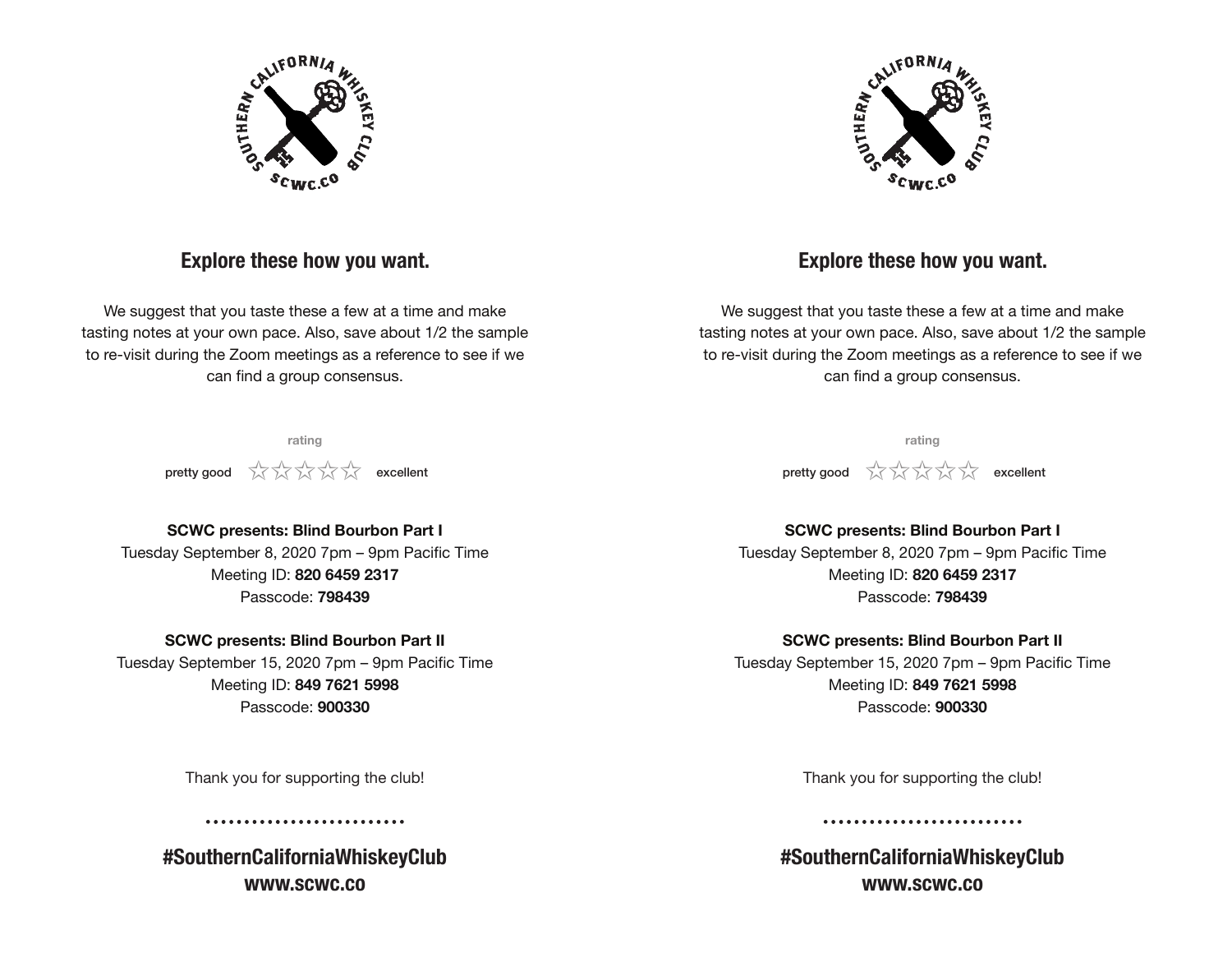

## **Explore these how you want.**

We suggest that you taste these a few at a time and make tasting notes at your own pace. Also, save about 1/2 the sample to re-visit during the Zoom meetings as a reference to see if we can find a group consensus.

> **rating pretty good**  $\frac{1}{2}$  $\frac{1}{2}$  $\frac{1}{2}$  $\frac{1}{2}$  $\frac{1}{2}$  $\frac{1}{2}$  $\frac{1}{2}$  **excellent**



## **Explore these how you want.**

We suggest that you taste these a few at a time and make tasting notes at your own pace. Also, save about 1/2 the sample to re-visit during the Zoom meetings as a reference to see if we can find a group consensus.

> **rating pretty good**  $\frac{1}{2}$   $\frac{1}{2}$   $\frac{1}{2}$   $\frac{1}{2}$   $\frac{1}{2}$  **excellent**

### **SCWC presents: Blind Bourbon Part I**

Tuesday September 8, 2020 7pm – 9pm Pacific Time Meeting ID: **820 6459 2317** Passcode: **798439**

#### **SCWC presents: Blind Bourbon Part II**

Tuesday September 15, 2020 7pm – 9pm Pacific Time Meeting ID: **849 7621 5998** Passcode: **900330**

Thank you for supporting the club!

**#SouthernCaliforniaWhiskeyClub www.scwc.co**

## **SCWC presents: Blind Bourbon Part I**

Tuesday September 8, 2020 7pm – 9pm Pacific Time Meeting ID: **820 6459 2317** Passcode: **798439**

#### **SCWC presents: Blind Bourbon Part II**

Tuesday September 15, 2020 7pm – 9pm Pacific Time Meeting ID: **849 7621 5998** Passcode: **900330**

Thank you for supporting the club!

**#SouthernCaliforniaWhiskeyClub www.scwc.co**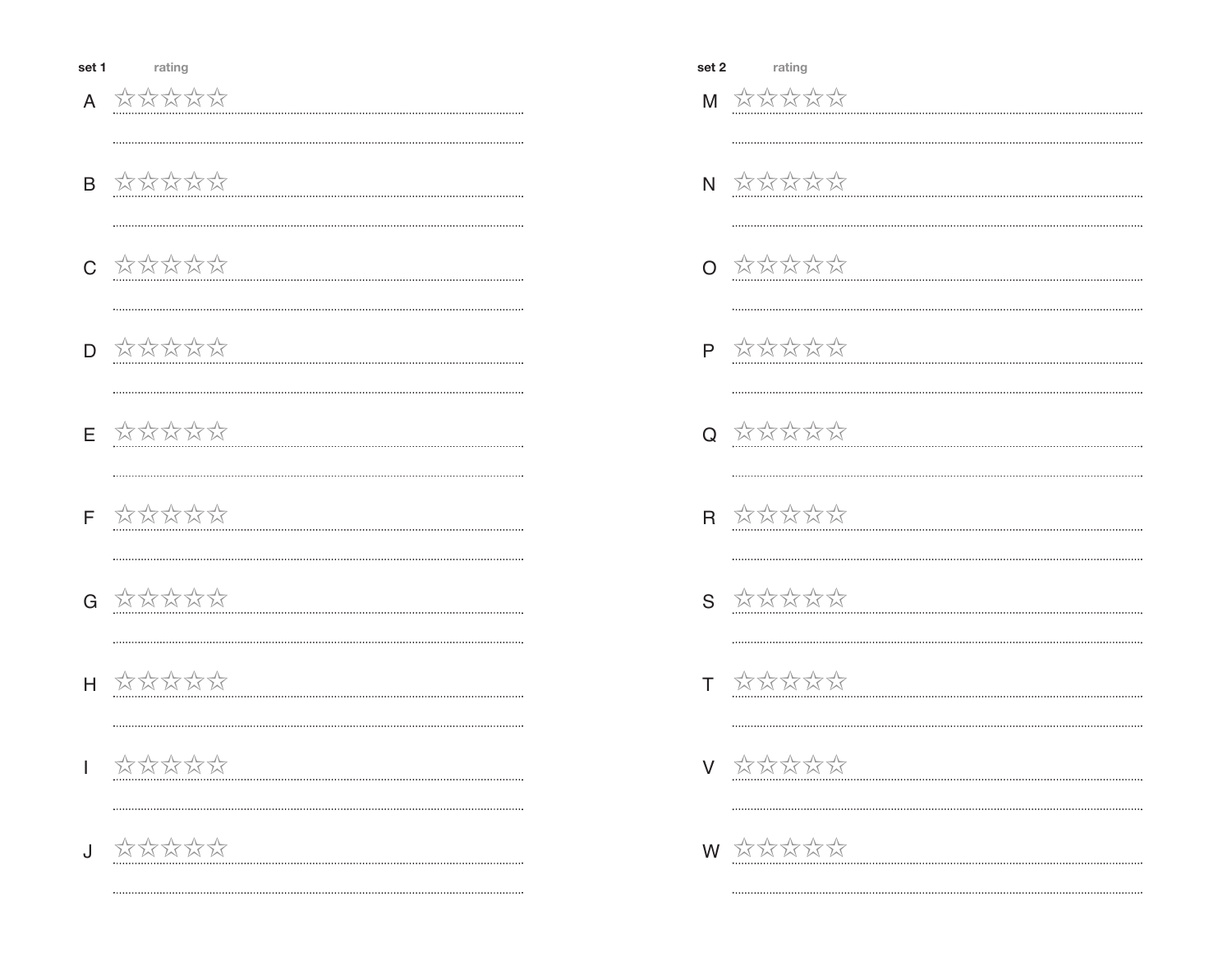A 对对对方

- B ☆☆☆☆☆
- C 立公公公公
- D ☆☆☆☆☆

- $E$   $X X X X X$
- F XXXXXX
- G **应动动动**
- H XXXXXX
- $X$   $X$   $X$   $X$   $X$
- J 欢欢欢欢

|    | set 2 rating                                                                                                                                |
|----|---------------------------------------------------------------------------------------------------------------------------------------------|
|    | $M$ $X X X X X$                                                                                                                             |
|    |                                                                                                                                             |
|    | $N$ $\overrightarrow{M}$ $\overrightarrow{M}$ $\overrightarrow{M}$ $\overrightarrow{M}$                                                     |
|    |                                                                                                                                             |
|    | 0 AXXXX                                                                                                                                     |
|    |                                                                                                                                             |
|    | $P$ $\overleftrightarrow{\sim}$ $\overleftrightarrow{\sim}$ $\overleftrightarrow{\sim}$ $\overleftrightarrow{\sim}$                         |
|    |                                                                                                                                             |
|    | 0 XXXXXX                                                                                                                                    |
|    |                                                                                                                                             |
|    | $R \quad \stackrel{\wedge}{\times} \stackrel{\wedge}{\times} \stackrel{\wedge}{\times} \stackrel{\wedge}{\times} \stackrel{\wedge}{\times}$ |
|    |                                                                                                                                             |
|    | $S \quad \stackrel{\wedge}{\times} \stackrel{\wedge}{\times} \stackrel{\wedge}{\times} \stackrel{\wedge}{\times} \stackrel{\wedge}{\times}$ |
|    |                                                                                                                                             |
|    | $T \quad \stackrel{\wedge}{\times} \stackrel{\wedge}{\times} \stackrel{\wedge}{\times} \stackrel{\wedge}{\times} \stackrel{\wedge}{\times}$ |
|    |                                                                                                                                             |
|    |                                                                                                                                             |
| V. | 欢欢欢欢欢                                                                                                                                       |
|    |                                                                                                                                             |
|    | W ☆☆☆☆☆                                                                                                                                     |